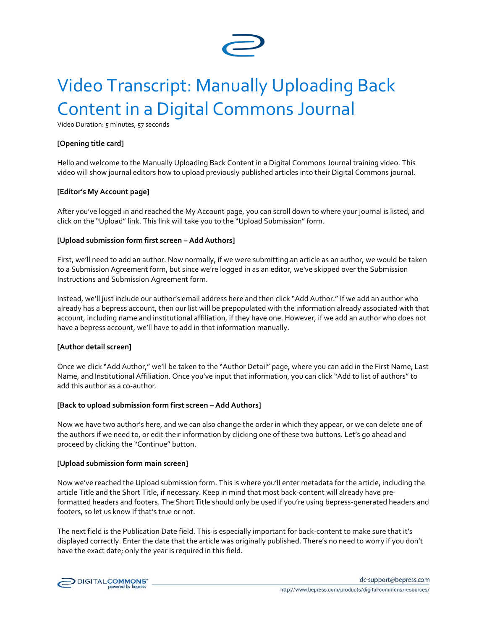

# Video Transcript: Manually Uploading Back Content in a Digital Commons Journal

Video Duration: 5 minutes, 57 seconds

#### **[Opening title card]**

Hello and welcome to the Manually Uploading Back Content in a Digital Commons Journal training video. This video will show journal editors how to upload previously published articles into their Digital Commons journal.

#### **[Editor's My Account page]**

After you've logged in and reached the My Account page, you can scroll down to where your journal is listed, and click on the "Upload" link. This link will take you to the "Upload Submission" form.

#### **[Upload submission form first screen – Add Authors]**

First, we'll need to add an author. Now normally, if we were submitting an article as an author, we would be taken to a Submission Agreement form, but since we're logged in as an editor, we've skipped over the Submission Instructions and Submission Agreement form.

Instead, we'll just include our author's email address here and then click "Add Author." If we add an author who already has a bepress account, then our list will be prepopulated with the information already associated with that account, including name and institutional affiliation, if they have one. However, if we add an author who does not have a bepress account, we'll have to add in that information manually.

#### **[Author detail screen]**

Once we click "Add Author," we'll be taken to the "Author Detail" page, where you can add in the First Name, Last Name, and Institutional Affiliation. Once you've input that information, you can click "Add to list of authors" to add this author as a co-author.

#### **[Back to upload submission form first screen – Add Authors]**

Now we have two author's here, and we can also change the order in which they appear, or we can delete one of the authors if we need to, or edit their information by clicking one of these two buttons. Let's go ahead and proceed by clicking the "Continue" button.

#### **[Upload submission form main screen]**

Now we've reached the Upload submission form. This is where you'll enter metadata for the article, including the article Title and the Short Title, if necessary. Keep in mind that most back-content will already have preformatted headers and footers. The Short Title should only be used if you're using bepress-generated headers and footers, so let us know if that's true or not.

The next field is the Publication Date field. This is especially important for back-content to make sure that it's displayed correctly. Enter the date that the article was originally published. There's no need to worry if you don't have the exact date; only the year is required in this field.

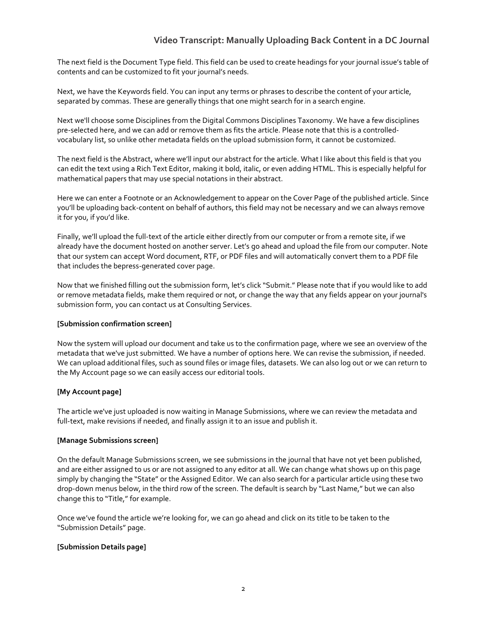# **Video Transcript: Manually Uploading Back Content in a DC Journal**

The next field is the Document Type field. This field can be used to create headings for your journal issue's table of contents and can be customized to fit your journal's needs.

Next, we have the Keywords field. You can input any terms or phrases to describe the content of your article, separated by commas. These are generally things that one might search for in a search engine.

Next we'll choose some Disciplines from the Digital Commons Disciplines Taxonomy. We have a few disciplines pre-selected here, and we can add or remove them as fits the article. Please note that this is a controlledvocabulary list, so unlike other metadata fields on the upload submission form, it cannot be customized.

The next field is the Abstract, where we'll input our abstract for the article. What I like about this field is that you can edit the text using a Rich Text Editor, making it bold, italic, or even adding HTML. This is especially helpful for mathematical papers that may use special notations in their abstract.

Here we can enter a Footnote or an Acknowledgement to appear on the Cover Page of the published article. Since you'll be uploading back-content on behalf of authors, this field may not be necessary and we can always remove it for you, if you'd like.

Finally, we'll upload the full-text of the article either directly from our computer or from a remote site, if we already have the document hosted on another server. Let's go ahead and upload the file from our computer. Note that our system can accept Word document, RTF, or PDF files and will automatically convert them to a PDF file that includes the bepress-generated cover page.

Now that we finished filling out the submission form, let's click "Submit." Please note that if you would like to add or remove metadata fields, make them required or not, or change the way that any fields appear on your journal's submission form, you can contact us at Consulting Services.

#### **[Submission confirmation screen]**

Now the system will upload our document and take us to the confirmation page, where we see an overview of the metadata that we've just submitted. We have a number of options here. We can revise the submission, if needed. We can upload additional files, such as sound files or image files, datasets. We can also log out or we can return to the My Account page so we can easily access our editorial tools.

## **[My Account page]**

The article we've just uploaded is now waiting in Manage Submissions, where we can review the metadata and full-text, make revisions if needed, and finally assign it to an issue and publish it.

#### **[Manage Submissions screen]**

On the default Manage Submissions screen, we see submissions in the journal that have not yet been published, and are either assigned to us or are not assigned to any editor at all. We can change what shows up on this page simply by changing the "State" or the Assigned Editor. We can also search for a particular article using these two drop-down menus below, in the third row of the screen. The default is search by "Last Name," but we can also change this to "Title," for example.

Once we've found the article we're looking for, we can go ahead and click on its title to be taken to the "Submission Details" page.

## **[Submission Details page]**